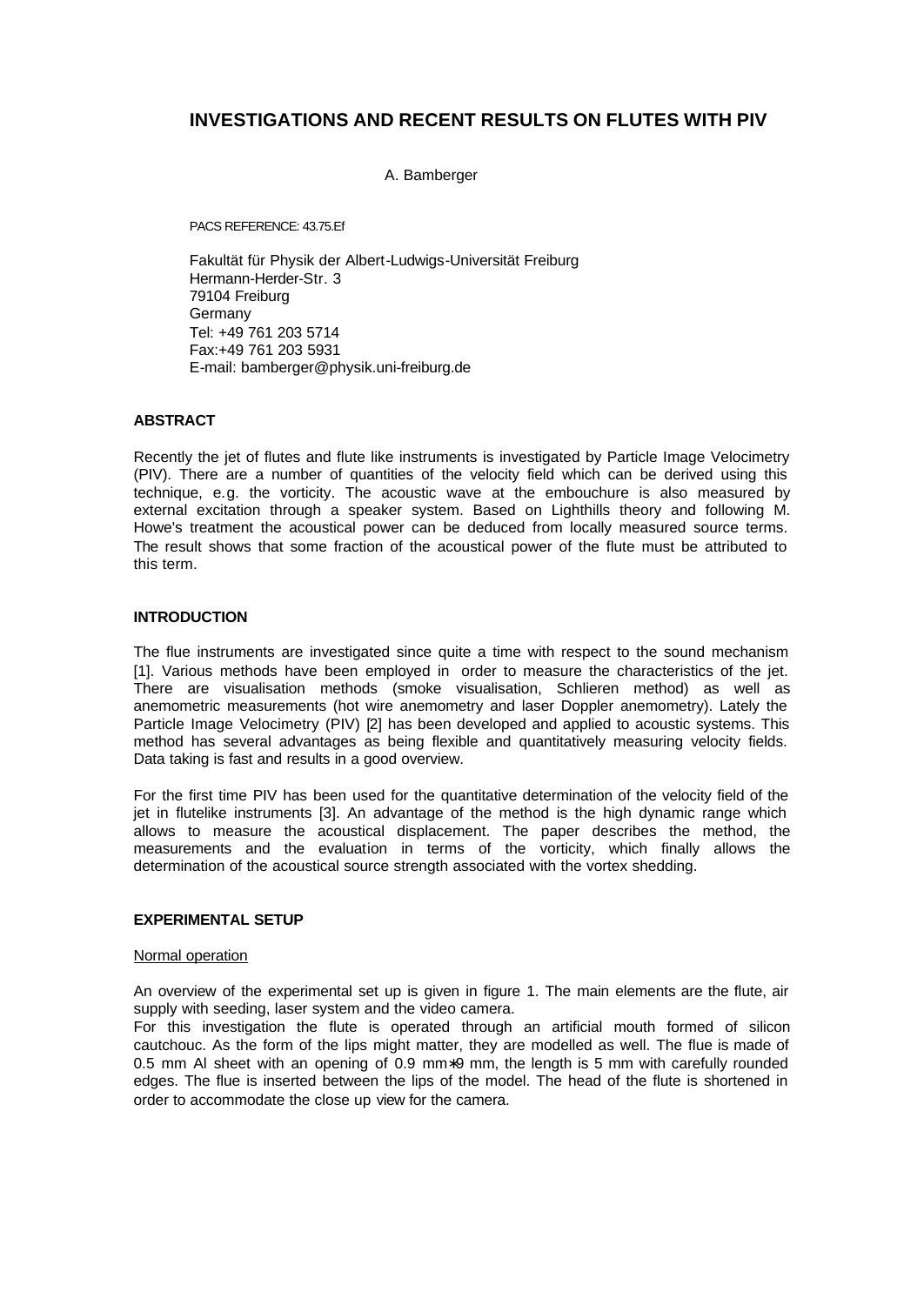# **INVESTIGATIONS AND RECENT RESULTS ON FLUTES WITH PIV**

A. Bamberger

PACS REFERENCE: 43.75.Ef

Fakultät für Physik der Albert-Ludwigs-Universität Freiburg Hermann-Herder-Str. 3 79104 Freiburg Germany Tel: +49 761 203 5714 Fax:+49 761 203 5931 E-mail: bamberger@physik.uni-freiburg.de

# **ABSTRACT**

Recently the jet of flutes and flute like instruments is investigated by Particle Image Velocimetry (PIV). There are a number of quantities of the velocity field which can be derived using this technique, e.g. the vorticity. The acoustic wave at the embouchure is also measured by external excitation through a speaker system. Based on Lighthills theory and following M. Howe's treatment the acoustical power can be deduced from locally measured source terms. The result shows that some fraction of the acoustical power of the flute must be attributed to this term.

# **INTRODUCTION**

The flue instruments are investigated since quite a time with respect to the sound mechanism [1]. Various methods have been employed in order to measure the characteristics of the jet. There are visualisation methods (smoke visualisation, Schlieren method) as well as anemometric measurements (hot wire anemometry and laser Doppler anemometry). Lately the Particle Image Velocimetry (PIV) [2] has been developed and applied to acoustic systems. This method has several advantages as being flexible and quantitatively measuring velocity fields. Data taking is fast and results in a good overview.

For the first time PIV has been used for the quantitative determination of the velocity field of the jet in flutelike instruments [3]. An advantage of the method is the high dynamic range which allows to measure the acoustical displacement. The paper describes the method, the measurements and the evaluation in terms of the vorticity, which finally allows the determination of the acoustical source strength associated with the vortex shedding.

# **EXPERIMENTAL SETUP**

## Normal operation

An overview of the experimental set up is given in figure 1. The main elements are the flute, air supply with seeding, laser system and the video camera.

For this investigation the flute is operated through an artificial mouth formed of silicon cautchouc. As the form of the lips might matter, they are modelled as well. The flue is made of 0.5 mm Al sheet with an opening of 0.9 mm∗9 mm, the length is 5 mm with carefully rounded edges. The flue is inserted between the lips of the model. The head of the flute is shortened in order to accommodate the close up view for the camera.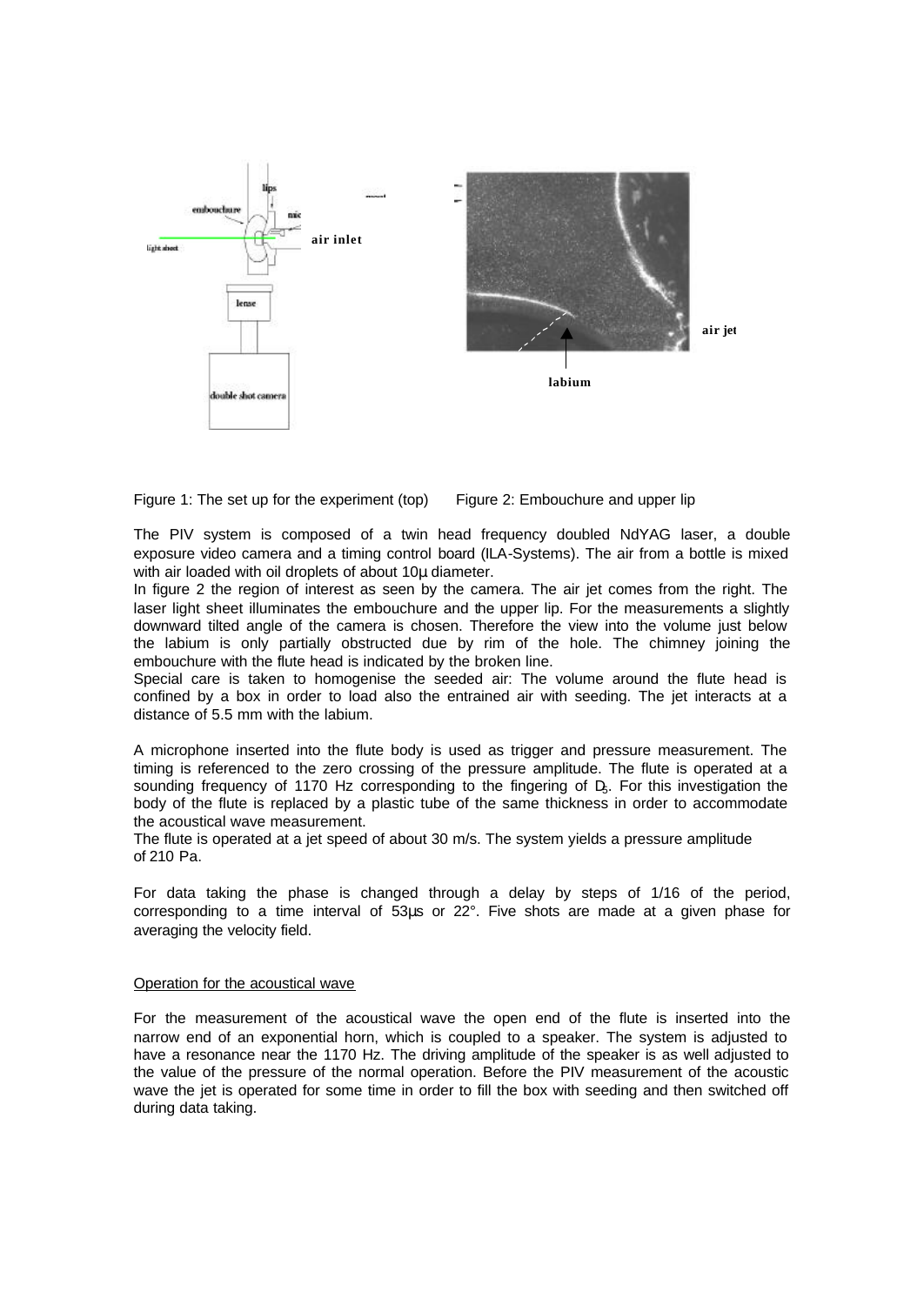



The PIV system is composed of a twin head frequency doubled NdYAG laser, a double exposure video camera and a timing control board (ILA-Systems). The air from a bottle is mixed with air loaded with oil droplets of about 10μ diameter.

In figure 2 the region of interest as seen by the camera. The air jet comes from the right. The laser light sheet illuminates the embouchure and the upper lip. For the measurements a slightly downward tilted angle of the camera is chosen. Therefore the view into the volume just below the labium is only partially obstructed due by rim of the hole. The chimney joining the embouchure with the flute head is indicated by the broken line.

Special care is taken to homogenise the seeded air: The volume around the flute head is confined by a box in order to load also the entrained air with seeding. The jet interacts at a distance of 5.5 mm with the labium.

A microphone inserted into the flute body is used as trigger and pressure measurement. The timing is referenced to the zero crossing of the pressure amplitude. The flute is operated at a sounding frequency of 1170 Hz corresponding to the fingering of D<sub>5</sub>. For this investigation the body of the flute is replaced by a plastic tube of the same thickness in order to accommodate the acoustical wave measurement.

The flute is operated at a jet speed of about 30 m/s. The system yields a pressure amplitude of 210 Pa.

For data taking the phase is changed through a delay by steps of 1/16 of the period, corresponding to a time interval of 53μs or 22°. Five shots are made at a given phase for averaging the velocity field.

#### Operation for the acoustical wave

For the measurement of the acoustical wave the open end of the flute is inserted into the narrow end of an exponential horn, which is coupled to a speaker. The system is adjusted to have a resonance near the 1170 Hz. The driving amplitude of the speaker is as well adjusted to the value of the pressure of the normal operation. Before the PIV measurement of the acoustic wave the jet is operated for some time in order to fill the box with seeding and then switched off during data taking.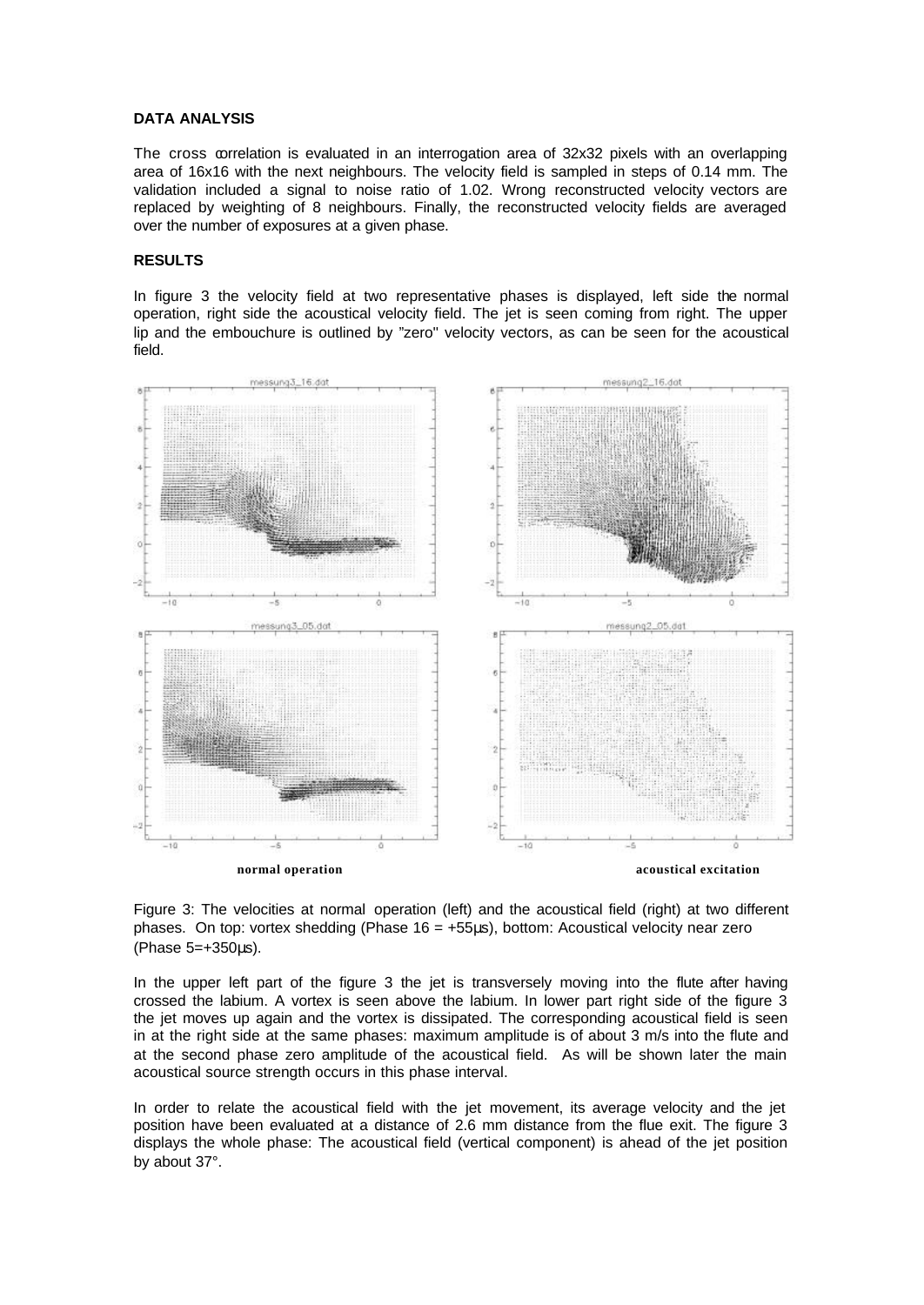#### **DATA ANALYSIS**

The cross correlation is evaluated in an interrogation area of 32x32 pixels with an overlapping area of 16x16 with the next neighbours. The velocity field is sampled in steps of 0.14 mm. The validation included a signal to noise ratio of 1.02. Wrong reconstructed velocity vectors are replaced by weighting of 8 neighbours. Finally, the reconstructed velocity fields are averaged over the number of exposures at a given phase.

## **RESULTS**

In figure 3 the velocity field at two representative phases is displayed, left side the normal operation, right side the acoustical velocity field. The jet is seen coming from right. The upper lip and the embouchure is outlined by "zero'' velocity vectors, as can be seen for the acoustical field.



Figure 3: The velocities at normal operation (left) and the acoustical field (right) at two different phases. On top: vortex shedding (Phase 16 = +55μs), bottom: Acoustical velocity near zero (Phase 5=+350μs).

In the upper left part of the figure 3 the jet is transversely moving into the flute after having crossed the labium. A vortex is seen above the labium. In lower part right side of the figure 3 the jet moves up again and the vortex is dissipated. The corresponding acoustical field is seen in at the right side at the same phases: maximum amplitude is of about 3 m/s into the flute and at the second phase zero amplitude of the acoustical field. As will be shown later the main acoustical source strength occurs in this phase interval.

In order to relate the acoustical field with the jet movement, its average velocity and the jet position have been evaluated at a distance of 2.6 mm distance from the flue exit. The figure 3 displays the whole phase: The acoustical field (vertical component) is ahead of the jet position by about 37°.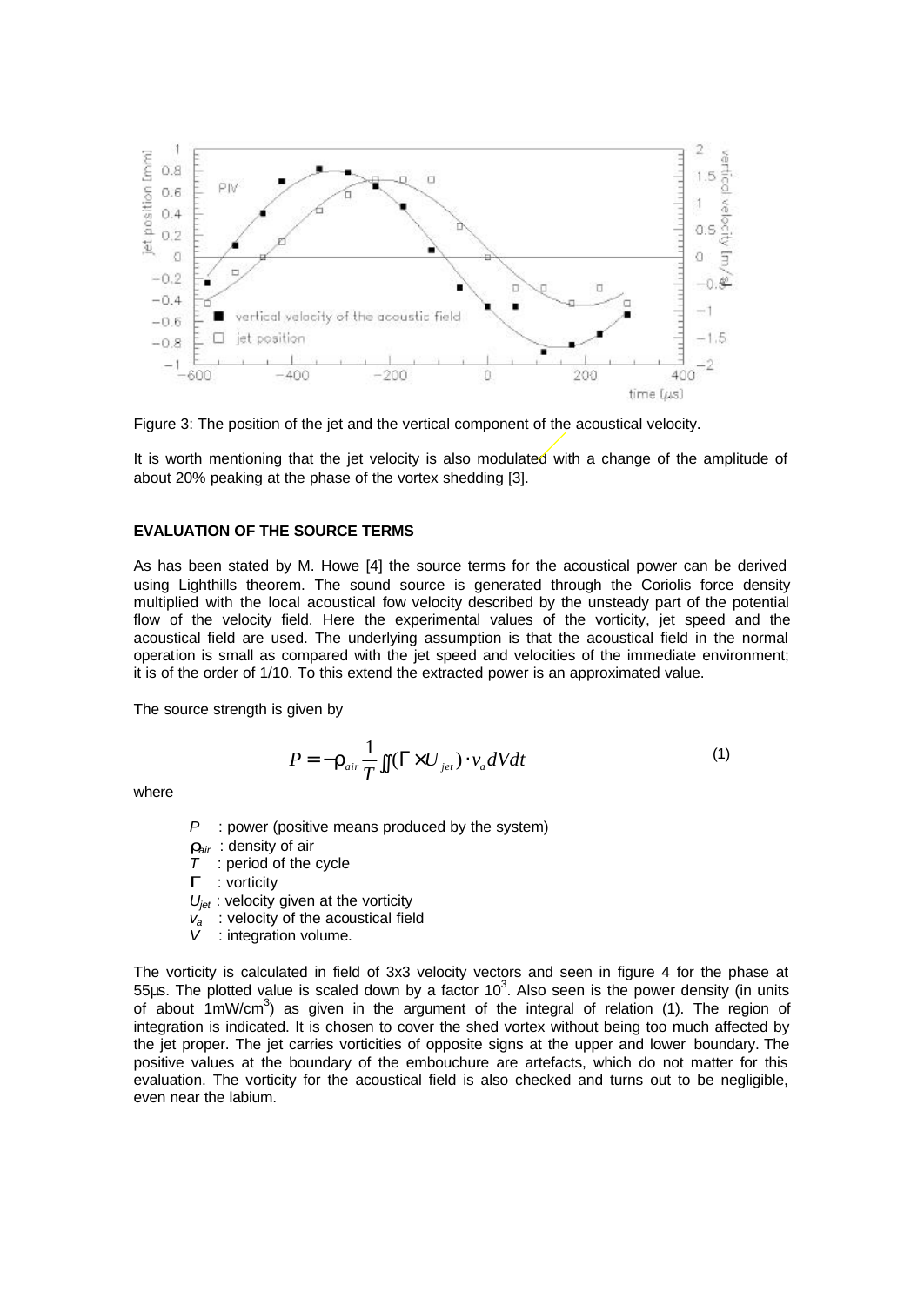

Figure 3: The position of the jet and the vertical component of the acoustical velocity.

It is worth mentioning that the jet velocity is also modulated with a change of the amplitude of about 20% peaking at the phase of the vortex shedding [3].

## **EVALUATION OF THE SOURCE TERMS**

As has been stated by M. Howe [4] the source terms for the acoustical power can be derived using Lighthills theorem. The sound source is generated through the Coriolis force density multiplied with the local acoustical fow velocity described by the unsteady part of the potential flow of the velocity field. Here the experimental values of the vorticity, jet speed and the acoustical field are used. The underlying assumption is that the acoustical field in the normal operation is small as compared with the jet speed and velocities of the immediate environment; it is of the order of 1/10. To this extend the extracted power is an approximated value.

The source strength is given by

$$
P = -\mathbf{r}_{air} \frac{1}{T} \iint (\Gamma \times U_{jet}) \cdot v_a dV dt \tag{1}
$$

where

*P* : power (positive means produced by the system)

*rair* : density of air

*T* : period of the cycle

*G* : vorticity

*U<sub>iet</sub>* : velocity given at the vorticity

- *va* : velocity of the acoustical field
- : integration volume.

The vorticity is calculated in field of 3x3 velocity vectors and seen in figure 4 for the phase at 55μs. The plotted value is scaled down by a factor  $10^3$ . Also seen is the power density (in units of about 1mW/cm<sup>3</sup>) as given in the argument of the integral of relation (1). The region of integration is indicated. It is chosen to cover the shed vortex without being too much affected by the jet proper. The jet carries vorticities of opposite signs at the upper and lower boundary. The positive values at the boundary of the embouchure are artefacts, which do not matter for this evaluation. The vorticity for the acoustical field is also checked and turns out to be negligible, even near the labium.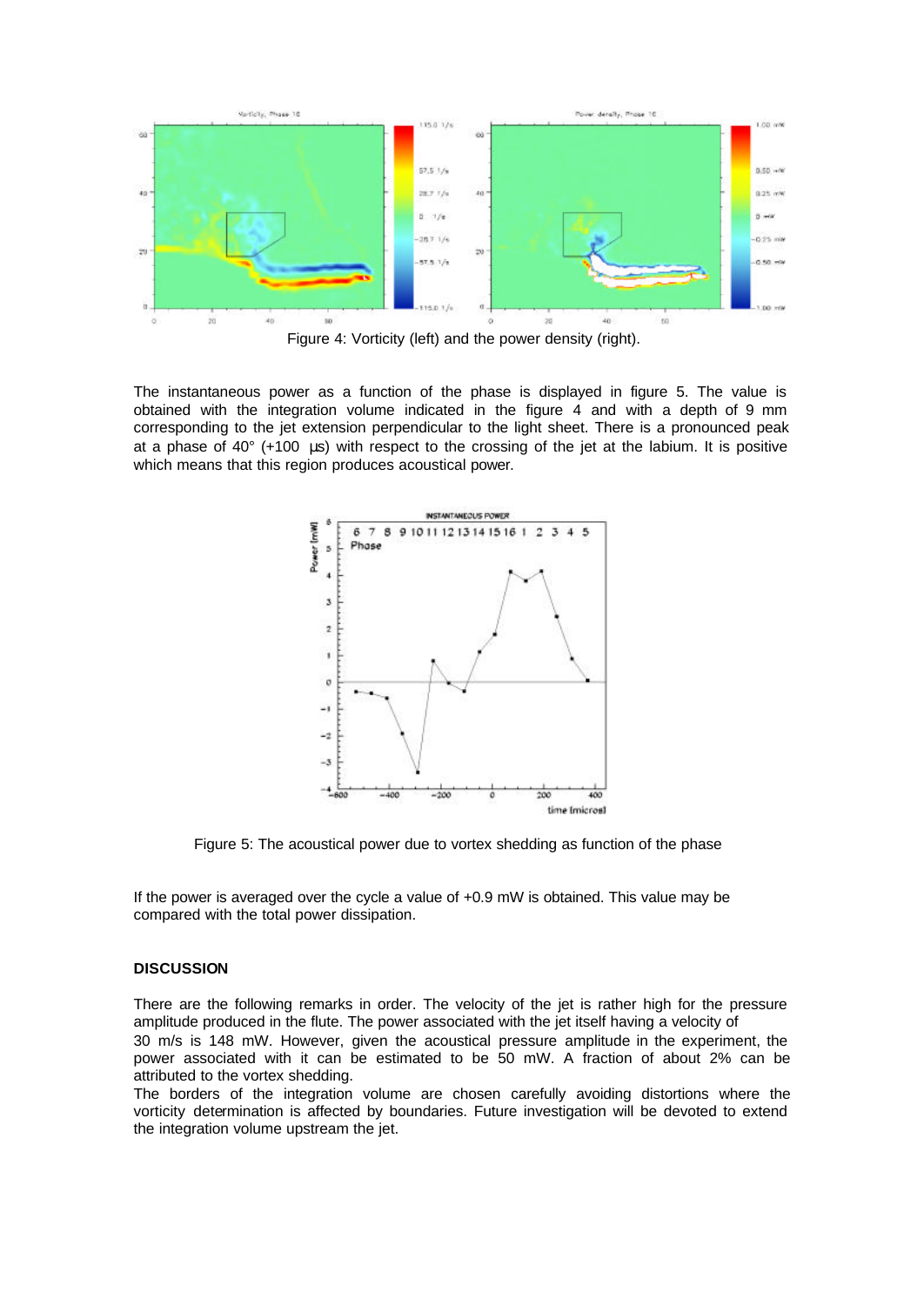

Figure 4: Vorticity (left) and the power density (right).

The instantaneous power as a function of the phase is displayed in figure 5. The value is obtained with the integration volume indicated in the figure 4 and with a depth of 9 mm corresponding to the jet extension perpendicular to the light sheet. There is a pronounced peak at a phase of 40° (+100 μs) with respect to the crossing of the jet at the labium. It is positive which means that this region produces acoustical power.



Figure 5: The acoustical power due to vortex shedding as function of the phase

If the power is averaged over the cycle a value of +0.9 mW is obtained. This value may be compared with the total power dissipation.

#### **DISCUSSION**

There are the following remarks in order. The velocity of the jet is rather high for the pressure amplitude produced in the flute. The power associated with the jet itself having a velocity of 30 m/s is 148 mW. However, given the acoustical pressure amplitude in the experiment, the power associated with it can be estimated to be 50 mW. A fraction of about 2% can be attributed to the vortex shedding.

The borders of the integration volume are chosen carefully avoiding distortions where the vorticity determination is affected by boundaries. Future investigation will be devoted to extend the integration volume upstream the jet.